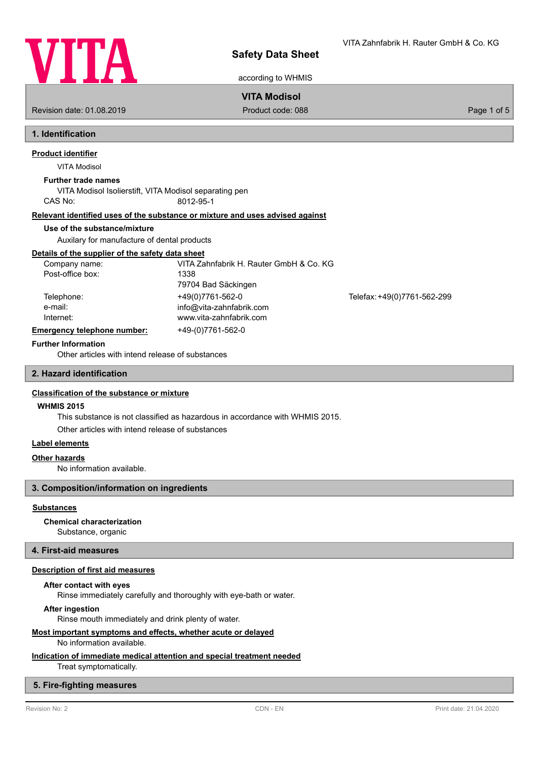

according to WHMIS

# **VITA Modisol**

Revision date: 01.08.2019 **Product code: 088** Page 1 of 5

# **1. Identification**

**Product identifier**

VITA Modisol

# **Further trade names**

VITA Modisol Isolierstift, VITA Modisol separating pen CAS No: 8012-95-1

# **Relevant identified uses of the substance or mixture and uses advised against**

# **Use of the substance/mixture**

Auxilary for manufacture of dental products

# **Details of the supplier of the safety data sheet**

| Company name:    | VITA Zahnfabrik H. Rauter GmbH & Co. KG       |                             |
|------------------|-----------------------------------------------|-----------------------------|
| Post-office box: | 1338                                          |                             |
|                  | 79704 Bad Säckingen                           |                             |
| Telephone:       | +49(0)7761-562-0                              | Telefax: +49(0)7761-562-299 |
| e-mail:          | info@vita-zahnfabrik.com                      |                             |
| Internet:        | www.vita-zahnfabrik.com                       |                             |
|                  | $\sim$ 18. $\sim$ $\sim$ $\sim$ $\sim$ $\sim$ |                             |

# **Emergency telephone number:**  $+49-(0)7761-562-0$

# **Further Information**

Other articles with intend release [of substances](mailto:info@vita-zahnfabrik.com)

# **2. Hazard identification**

# **Classification of the substance or mixture**

# **WHMIS 2015**

This substance is not classified as hazardous in accordance with WHMIS 2015.

Other articles with intend release of substances

# **Label elements**

# **Other hazards**

No information available.

# **3. Composition/information on ingredients**

# **Substances**

# **Chemical characterization**

Substance, organic

# **4. First-aid measures**

# **Description of first aid measures**

# **After contact with eyes**

Rinse immediately carefully and thoroughly with eye-bath or water.

# **After ingestion**

Rinse mouth immediately and drink plenty of water.

# **Most important symptoms and effects, whether acute or delayed**

No information available.

**Indication of immediate medical attention and special treatment needed**

Treat symptomatically.

# **5. Fire-fighting measures**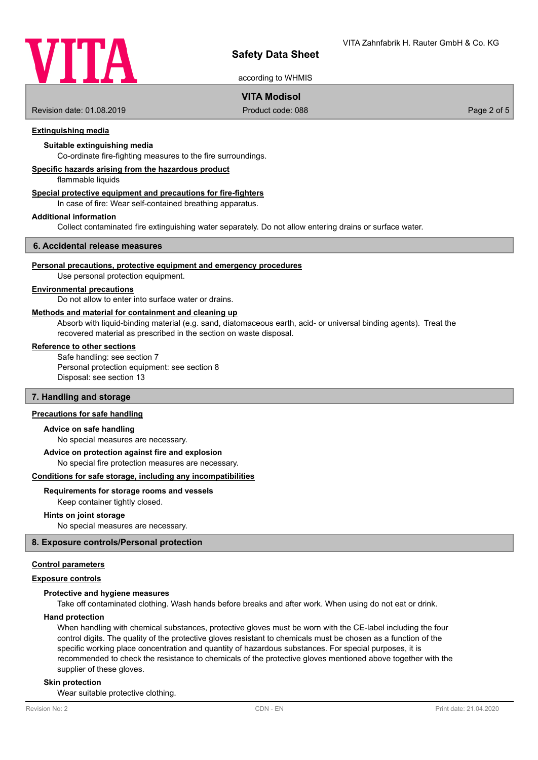

# **Safety Data Sheet**

according to WHMIS

# **VITA Modisol**

Revision date: 01.08.2019 **Product code: 088** Page 2 of 5

# **Extinguishing media**

# **Suitable extinguishing media**

Co-ordinate fire-fighting measures to the fire surroundings.

# **Specific hazards arising from the hazardous product**

flammable liquids

# **Special protective equipment and precautions for fire-fighters**

In case of fire: Wear self-contained breathing apparatus.

#### **Additional information**

Collect contaminated fire extinguishing water separately. Do not allow entering drains or surface water.

#### **6. Accidental release measures**

#### **Personal precautions, protective equipment and emergency procedures**

Use personal protection equipment.

#### **Environmental precautions**

Do not allow to enter into surface water or drains.

# **Methods and material for containment and cleaning up**

Absorb with liquid-binding material (e.g. sand, diatomaceous earth, acid- or universal binding agents). Treat the recovered material as prescribed in the section on waste disposal.

# **Reference to other sections**

Safe handling: see section 7 Personal protection equipment: see section 8 Disposal: see section 13

# **7. Handling and storage**

# **Precautions for safe handling**

# **Advice on safe handling**

No special measures are necessary.

## **Advice on protection against fire and explosion**

No special fire protection measures are necessary.

#### **Conditions for safe storage, including any incompatibilities**

# **Requirements for storage rooms and vessels**

Keep container tightly closed.

#### **Hints on joint storage**

No special measures are necessary.

# **8. Exposure controls/Personal protection**

# **Control parameters**

#### **Exposure controls**

# **Protective and hygiene measures**

Take off contaminated clothing. Wash hands before breaks and after work. When using do not eat or drink.

#### **Hand protection**

When handling with chemical substances, protective gloves must be worn with the CE-label including the four control digits. The quality of the protective gloves resistant to chemicals must be chosen as a function of the specific working place concentration and quantity of hazardous substances. For special purposes, it is recommended to check the resistance to chemicals of the protective gloves mentioned above together with the supplier of these gloves.

# **Skin protection**

Wear suitable protective clothing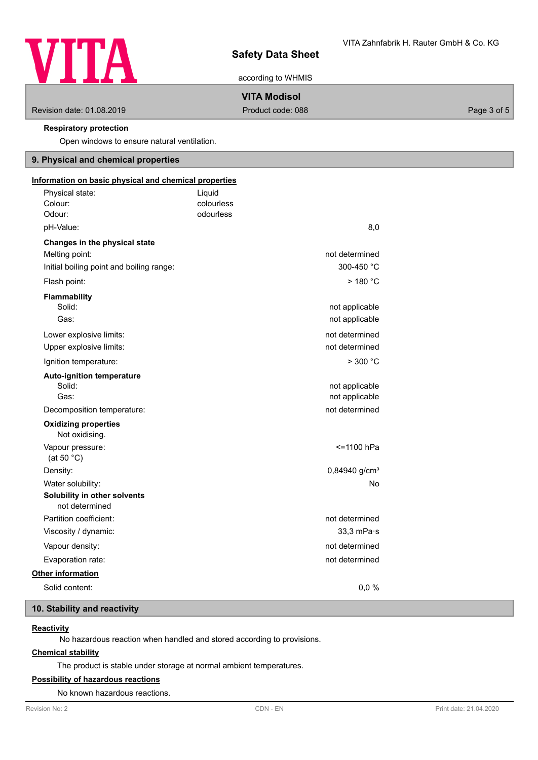

# **Safety Data Sheet**

according to WHMIS

# **VITA Modisol**

Revision date: 01.08.2019 **Product code: 088** Product code: 088 Page 3 of 5

# **Respiratory protection**

Open windows to ensure natural ventilation.

# **9. Physical and chemical properties**

| Information on basic physical and chemical properties |            |                           |
|-------------------------------------------------------|------------|---------------------------|
| Physical state:                                       | Liquid     |                           |
| Colour:                                               | colourless |                           |
| Odour:                                                | odourless  |                           |
| pH-Value:                                             |            | 8,0                       |
| Changes in the physical state                         |            |                           |
| Melting point:                                        |            | not determined            |
| Initial boiling point and boiling range:              |            | 300-450 °C                |
| Flash point:                                          |            | $>$ 180 °C                |
| <b>Flammability</b>                                   |            |                           |
| Solid:                                                |            | not applicable            |
| Gas:                                                  |            | not applicable            |
| Lower explosive limits:                               |            | not determined            |
| Upper explosive limits:                               |            | not determined            |
| Ignition temperature:                                 |            | > 300 °C                  |
| <b>Auto-ignition temperature</b>                      |            |                           |
| Solid:                                                |            | not applicable            |
| Gas:                                                  |            | not applicable            |
| Decomposition temperature:                            |            | not determined            |
| <b>Oxidizing properties</b><br>Not oxidising.         |            |                           |
| Vapour pressure:                                      |            | <=1100 hPa                |
| (at 50 $°C$ )                                         |            |                           |
| Density:                                              |            | 0,84940 g/cm <sup>3</sup> |
| Water solubility:                                     |            | No                        |
| Solubility in other solvents<br>not determined        |            |                           |
| Partition coefficient:                                |            | not determined            |
| Viscosity / dynamic:                                  |            | $33,3$ mPa $\cdot$ s      |
| Vapour density:                                       |            | not determined            |
| Evaporation rate:                                     |            | not determined            |
| Other information                                     |            |                           |
| Solid content:                                        |            | 0,0%                      |

# **10. Stability and reactivity**

# **Reactivity**

No hazardous reaction when handled and stored according to provisions.

# **Chemical stability**

The product is stable under storage at normal ambient temperatures.

# **Possibility of hazardous reactions**

No known hazardous reactions.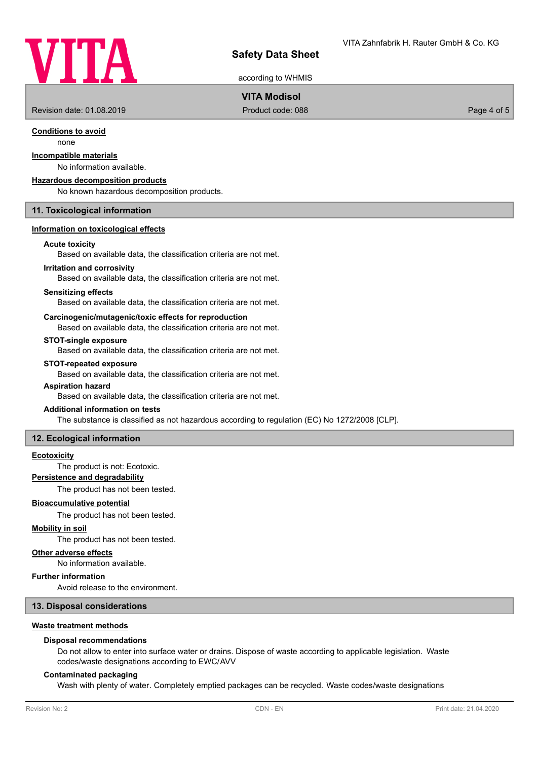# **VIIA**

# **Safety Data Sheet**

according to WHMIS

# **VITA Modisol**

Revision date: 01.08.2019 **Product code: 088** Page 4 of 5

# **Conditions to avoid**

none

# **Incompatible materials**

# No information available.

**Hazardous decomposition products**

No known hazardous decomposition products.

# **11. Toxicological information**

# **Information on toxicological effects**

#### **Acute toxicity**

Based on available data, the classification criteria are not met.

#### **Irritation and corrosivity**

Based on available data, the classification criteria are not met.

# **Sensitizing effects**

Based on available data, the classification criteria are not met.

# **Carcinogenic/mutagenic/toxic effects for reproduction**

Based on available data, the classification criteria are not met.

## **STOT-single exposure**

Based on available data, the classification criteria are not met.

#### **STOT-repeated exposure**

Based on available data, the classification criteria are not met.

# **Aspiration hazard**

Based on available data, the classification criteria are not met.

#### **Additional information on tests**

The substance is classified as not hazardous according to regulation (EC) No 1272/2008 [CLP].

# **12. Ecological information**

# **Ecotoxicity**

The product is not: Ecotoxic.

# **Persistence and degradability**

The product has not been tested.

# **Bioaccumulative potential**

The product has not been tested.

# **Mobility in soil**

The product has not been tested.

# **Other adverse effects**

No information available.

# **Further information**

Avoid release to the environment.

# **13. Disposal considerations**

#### **Waste treatment methods**

# **Disposal recommendations**

Do not allow to enter into surface water or drains. Dispose of waste according to applicable legislation. Waste codes/waste designations according to EWC/AVV

# **Contaminated packaging**

Wash with plenty of water. Completely emptied packages can be recycled. Waste codes/waste designations